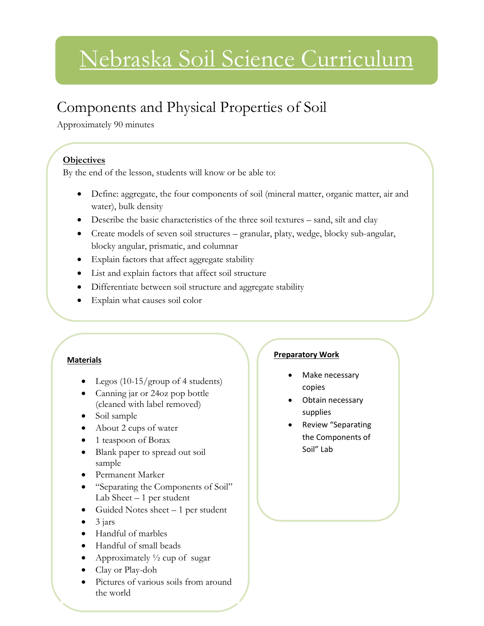# Nebraska Soil Science Curriculum

# Components and Physical Properties of Soil

Approximately 90 minutes

## **Objectives**

By the end of the lesson, students will know or be able to:

- Define: aggregate, the four components of soil (mineral matter, organic matter, air and water), bulk density
- Describe the basic characteristics of the three soil textures sand, silt and clay
- Create models of seven soil structures granular, platy, wedge, blocky sub-angular, blocky angular, prismatic, and columnar
- Explain factors that affect aggregate stability
- List and explain factors that affect soil structure
- Differentiate between soil structure and aggregate stability
- Explain what causes soil color

#### **Materials**

- Legos (10-15/group of 4 students)
- Canning jar or 24oz pop bottle (cleaned with label removed)
- Soil sample
- About 2 cups of water
- 1 teaspoon of Borax
- Blank paper to spread out soil sample
- Permanent Marker
- "Separating the Components of Soil" Lab Sheet  $-1$  per student
- Guided Notes sheet  $-1$  per student
- 3 jars
- Handful of marbles
- Handful of small beads
- Approximately  $\frac{1}{2}$  cup of sugar
- Clay or Play-doh
- Pictures of various soils from around the world

#### **Preparatory Work**

- Make necessary copies
- Obtain necessary supplies
- Review "Separating the Components of Soil" Lab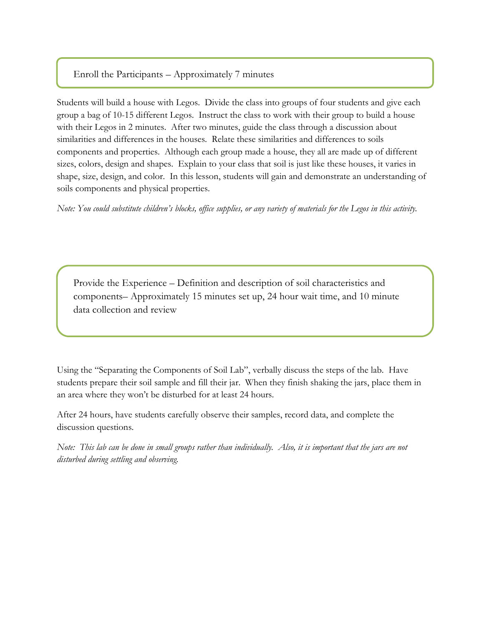### Enroll the Participants – Approximately 7 minutes

l

Students will build a house with Legos. Divide the class into groups of four students and give each group a bag of 10-15 different Legos. Instruct the class to work with their group to build a house with their Legos in 2 minutes. After two minutes, guide the class through a discussion about similarities and differences in the houses. Relate these similarities and differences to soils components and properties. Although each group made a house, they all are made up of different sizes, colors, design and shapes. Explain to your class that soil is just like these houses, it varies in shape, size, design, and color. In this lesson, students will gain and demonstrate an understanding of soils components and physical properties.

*Note: You could substitute children's blocks, office supplies, or any variety of materials for the Legos in this activity.* 

Provide the Experience – Definition and description of soil characteristics and components– Approximately 15 minutes set up, 24 hour wait time, and 10 minute data collection and review

Using the "Separating the Components of Soil Lab", verbally discuss the steps of the lab. Have students prepare their soil sample and fill their jar. When they finish shaking the jars, place them in an area where they won't be disturbed for at least 24 hours.

After 24 hours, have students carefully observe their samples, record data, and complete the discussion questions.

*Note: This lab can be done in small groups rather than individually. Also, it is important that the jars are not disturbed during settling and observing.*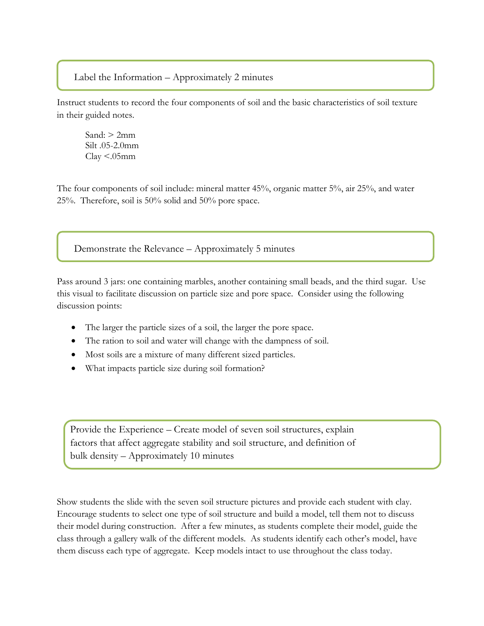#### Label the Information – Approximately 2 minutes

Instruct students to record the four components of soil and the basic characteristics of soil texture in their guided notes.

Sand:  $> 2$ mm Silt .05-2.0mm  $Clay < 05$ mm

The four components of soil include: mineral matter 45%, organic matter 5%, air 25%, and water 25%. Therefore, soil is 50% solid and 50% pore space.

Demonstrate the Relevance – Approximately 5 minutes

Pass around 3 jars: one containing marbles, another containing small beads, and the third sugar. Use this visual to facilitate discussion on particle size and pore space. Consider using the following discussion points:

- The larger the particle sizes of a soil, the larger the pore space.
- The ration to soil and water will change with the dampness of soil.
- Most soils are a mixture of many different sized particles.
- What impacts particle size during soil formation?

Provide the Experience – Create model of seven soil structures, explain factors that affect aggregate stability and soil structure, and definition of bulk density – Approximately 10 minutes

Show students the slide with the seven soil structure pictures and provide each student with clay. Encourage students to select one type of soil structure and build a model, tell them not to discuss their model during construction. After a few minutes, as students complete their model, guide the class through a gallery walk of the different models. As students identify each other's model, have them discuss each type of aggregate. Keep models intact to use throughout the class today.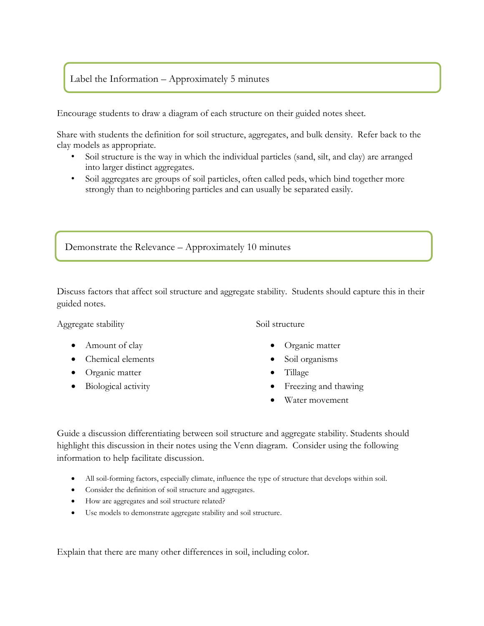### Label the Information – Approximately 5 minutes

Encourage students to draw a diagram of each structure on their guided notes sheet.

Share with students the definition for soil structure, aggregates, and bulk density. Refer back to the clay models as appropriate.

- Soil structure is the way in which the individual particles (sand, silt, and clay) are arranged into larger distinct aggregates.
- Soil aggregates are groups of soil particles, often called peds, which bind together more strongly than to neighboring particles and can usually be separated easily.

Demonstrate the Relevance – Approximately 10 minutes

Discuss factors that affect soil structure and aggregate stability. Students should capture this in their guided notes.

Aggregate stability

- Amount of clay
- Chemical elements
- Organic matter
- Biological activity

Soil structure

- Organic matter
- Soil organisms
- Tillage
- Freezing and thawing
- Water movement

Guide a discussion differentiating between soil structure and aggregate stability. Students should highlight this discussion in their notes using the Venn diagram. Consider using the following information to help facilitate discussion.

- All soil-forming factors, especially climate, influence the type of structure that develops within soil.
- Consider the definition of soil structure and aggregates.
- How are aggregates and soil structure related?
- Use models to demonstrate aggregate stability and soil structure.

Explain that there are many other differences in soil, including color.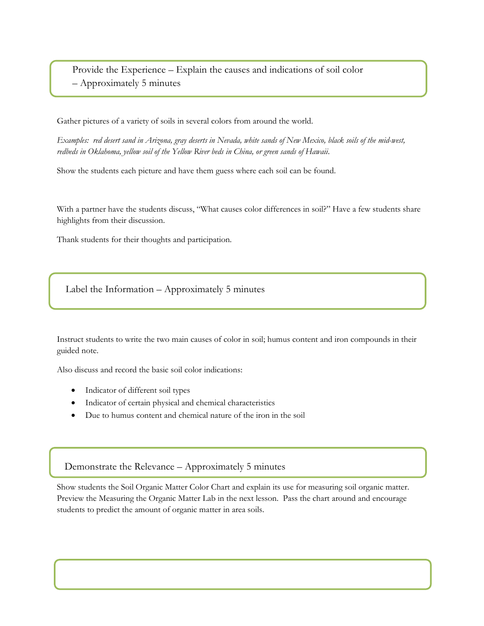Provide the Experience – Explain the causes and indications of soil color – Approximately 5 minutes

Gather pictures of a variety of soils in several colors from around the world.

*Examples: red desert sand in Arizona, gray deserts in Nevada, white sands of New Mexico, black soils of the mid-west, redbeds in Oklahoma, yellow soil of the Yellow River beds in China, or green sands of Hawaii*.

Show the students each picture and have them guess where each soil can be found.

With a partner have the students discuss, "What causes color differences in soil?" Have a few students share highlights from their discussion.

Thank students for their thoughts and participation.

Label the Information – Approximately 5 minutes

Instruct students to write the two main causes of color in soil; humus content and iron compounds in their guided note.

Also discuss and record the basic soil color indications:

- Indicator of different soil types
- Indicator of certain physical and chemical characteristics
- Due to humus content and chemical nature of the iron in the soil

Demonstrate the Relevance – Approximately 5 minutes

Show students the Soil Organic Matter Color Chart and explain its use for measuring soil organic matter. Preview the Measuring the Organic Matter Lab in the next lesson. Pass the chart around and encourage students to predict the amount of organic matter in area soils.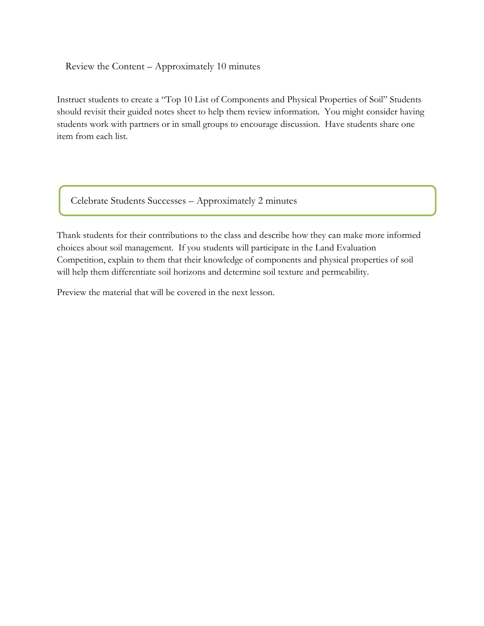Review the Content – Approximately 10 minutes

Instruct students to create a "Top 10 List of Components and Physical Properties of Soil" Students should revisit their guided notes sheet to help them review information. You might consider having students work with partners or in small groups to encourage discussion. Have students share one item from each list.

Celebrate Students Successes – Approximately 2 minutes

Thank students for their contributions to the class and describe how they can make more informed choices about soil management. If you students will participate in the Land Evaluation Competition, explain to them that their knowledge of components and physical properties of soil will help them differentiate soil horizons and determine soil texture and permeability.

Preview the material that will be covered in the next lesson.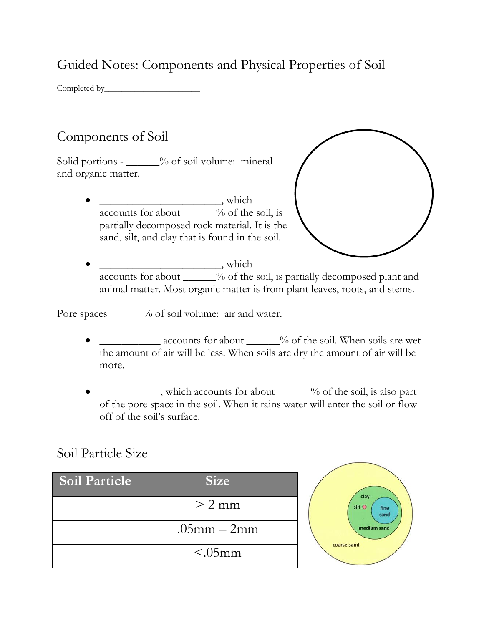Guided Notes: Components and Physical Properties of Soil

Completed by\_\_\_\_\_\_\_\_\_\_\_\_\_\_\_\_\_\_\_\_\_\_

## Components of Soil

Solid portions -  $\frac{9}{6}$  of soil volume: mineral and organic matter.

> \_\_\_\_\_\_\_\_\_\_\_\_\_\_\_\_\_\_\_\_\_\_, which  $\overline{\text{ accounts for about } \_\_\_\%}$  of the soil, is partially decomposed rock material. It is the sand, silt, and clay that is found in the soil.



 \_\_\_\_\_\_\_\_\_\_\_\_\_\_\_\_\_\_\_\_\_\_, which accounts for about \_\_\_\_\_% of the soil, is partially decomposed plant and animal matter. Most organic matter is from plant leaves, roots, and stems.

Pore spaces \_\_\_\_\_\_% of soil volume: air and water.

- accounts for about  $\frac{1}{2}$  % of the soil. When soils are wet the amount of air will be less. When soils are dry the amount of air will be more.
- which accounts for about  $\frac{9}{6}$  of the soil, is also part of the pore space in the soil. When it rains water will enter the soil or flow off of the soil's surface.

## Soil Particle Size

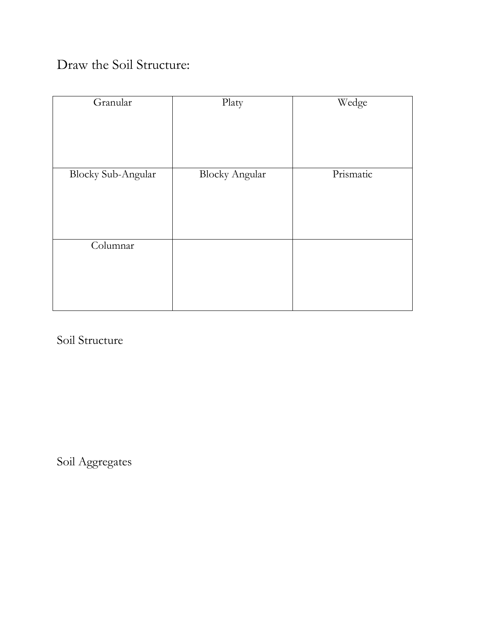# Draw the Soil Structure:

| Granular                  | Platy                 | Wedge     |
|---------------------------|-----------------------|-----------|
| <b>Blocky Sub-Angular</b> | <b>Blocky Angular</b> | Prismatic |
|                           |                       |           |
|                           |                       |           |
|                           |                       |           |
| Columnar                  |                       |           |
|                           |                       |           |
|                           |                       |           |
|                           |                       |           |

Soil Structure

Soil Aggregates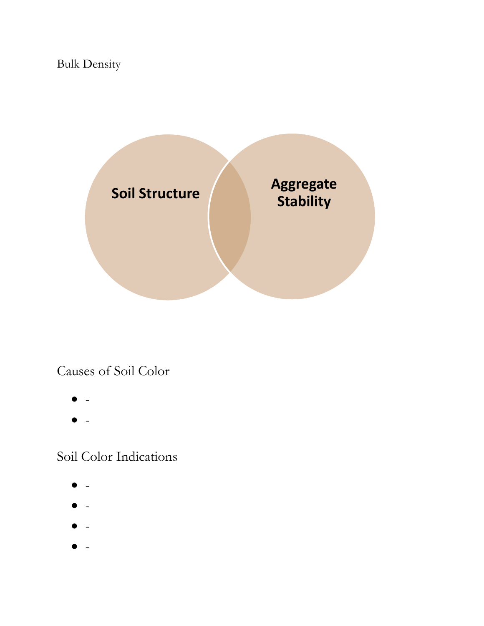# Bulk Density



## Causes of Soil Color

- $\bullet$  -
- $\bullet$  -

## Soil Color Indications

- $\mathbf{r}$
- $\bullet$  -
- $\bullet$  -
- $\bullet$  -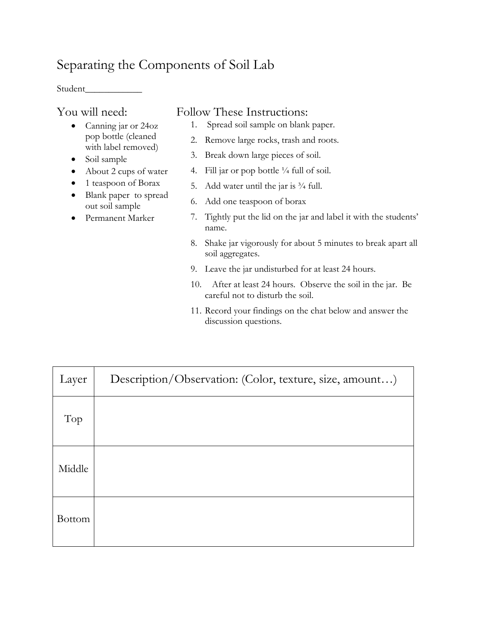## Separating the Components of Soil Lab

Student\_\_\_\_\_\_\_\_\_\_\_\_

## You will need:

- Canning jar or 24oz pop bottle (cleaned with label removed)
- Soil sample
- About 2 cups of water
- 1 teaspoon of Borax
- Blank paper to spread out soil sample
- Permanent Marker

## Follow These Instructions:

- 1. Spread soil sample on blank paper.
- 2. Remove large rocks, trash and roots.
- 3. Break down large pieces of soil.
- 4. Fill jar or pop bottle  $\frac{1}{4}$  full of soil.
- 5. Add water until the jar is  $\frac{3}{4}$  full.
- 6. Add one teaspoon of borax
- 7. Tightly put the lid on the jar and label it with the students' name.
- 8. Shake jar vigorously for about 5 minutes to break apart all soil aggregates.
- 9. Leave the jar undisturbed for at least 24 hours.
- 10. After at least 24 hours. Observe the soil in the jar. Be careful not to disturb the soil.
- 11. Record your findings on the chat below and answer the discussion questions.

| Layer         | Description/Observation: (Color, texture, size, amount) |
|---------------|---------------------------------------------------------|
| Top           |                                                         |
| Middle        |                                                         |
| <b>Bottom</b> |                                                         |